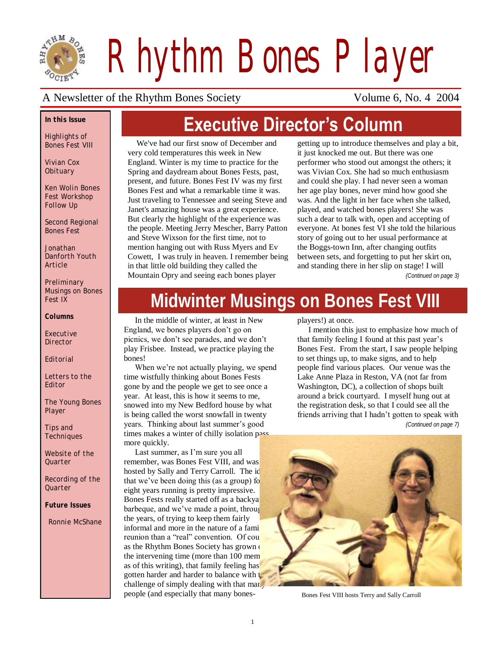

*Rhythm Bones Player*

### A Newsletter of the Rhythm Bones Society Volume 6, No. 4 2004

#### *In this Issue*

*Highlights of Bones Fest VIII*

*Vivian Cox Obituary*

*Ken Wolin Bones Fest Workshop Follow Up*

*Second Regional Bones Fest*

*Jonathan Danforth Youth Article*

*Preliminary Musings on Bones Fest IX*

*Columns*

*Executive Director*

*Editorial*

*Letters to the Editor*

*The Young Bones Player*

*Tips and Techniques*

*Website of the Quarter*

*Recording of the Quarter*

*Future Issues*

*Ronnie McShane*

# **Executive Director's Column**

We've had our first snow of December and very cold temperatures this week in New England. Winter is my time to practice for the Spring and daydream about Bones Fests, past, present, and future. Bones Fest IV was my first Bones Fest and what a remarkable time it was. Just traveling to Tennessee and seeing Steve and Janet's amazing house was a great experience. But clearly the highlight of the experience was the people. Meeting Jerry Mescher, Barry Patton and Steve Wixson for the first time, not to mention hanging out with Russ Myers and Ev Cowett, I was truly in heaven. I remember being in that little old building they called the Mountain Opry and seeing each bones player

getting up to introduce themselves and play a bit, it just knocked me out. But there was one performer who stood out amongst the others; it was Vivian Cox. She had so much enthusiasm and could she play. I had never seen a woman her age play bones, never mind how good she was. And the light in her face when she talked, played, and watched bones players! She was such a dear to talk with, open and accepting of everyone. At bones fest VI she told the hilarious story of going out to her usual performance at the Boggs-town Inn, after changing outfits between sets, and forgetting to put her skirt on, and standing there in her slip on stage! I will

*(Continued on page 3)*

# **Midwinter Musings on Bones Fest VIII**

In the middle of winter, at least in New England, we bones players don"t go on picnics, we don"t see parades, and we don"t play Frisbee. Instead, we practice playing the bones!

When we're not actually playing, we spend time wistfully thinking about Bones Fests gone by and the people we get to see once a year. At least, this is how it seems to me, snowed into my New Bedford house by what is being called the worst snowfall in twenty years. Thinking about last summer's good times makes a winter of chilly isolation pass more quickly.

Last summer, as I'm sure you all remember, was Bones Fest VIII, and was hosted by Sally and Terry Carroll. The id that we've been doing this (as a group) for eight years running is pretty impressive. Bones Fests really started off as a backyard barbeque, and we've made a point, through the years, of trying to keep them fairly informal and more in the nature of a fami reunion than a "real" convention. Of cou as the Rhythm Bones Society has grown the intervening time (more than  $100$  mem as of this writing), that family feeling has gotten harder and harder to balance with  $\mathbf t$ challenge of simply dealing with that man. people (and especially that many bonesplayers!) at once.

I mention this just to emphasize how much of that family feeling I found at this past year"s Bones Fest. From the start, I saw people helping to set things up, to make signs, and to help people find various places. Our venue was the Lake Anne Plaza in Reston, VA (not far from Washington, DC), a collection of shops built around a brick courtyard. I myself hung out at the registration desk, so that I could see all the friends arriving that I hadn"t gotten to speak with *(Continued on page 7)*



Bones Fest VIII hosts Terry and Sally Carroll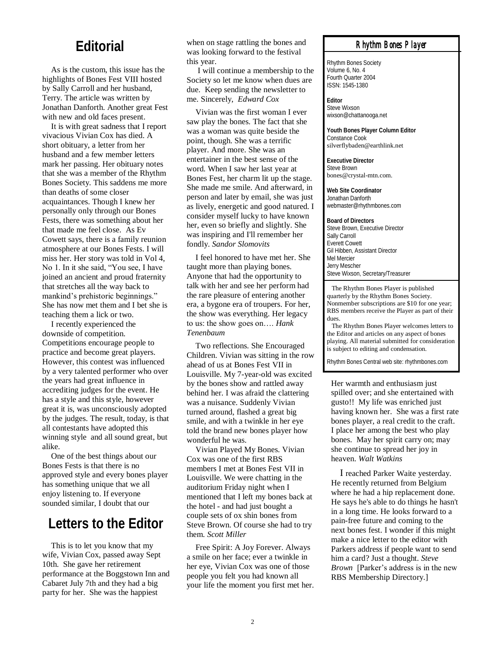# **Editorial**

As is the custom, this issue has the highlights of Bones Fest VIII hosted by Sally Carroll and her husband, Terry. The article was written by Jonathan Danforth. Another great Fest with new and old faces present.

It is with great sadness that I report vivacious Vivian Cox has died. A short obituary, a letter from her husband and a few member letters mark her passing. Her obituary notes that she was a member of the Rhythm Bones Society. This saddens me more than deaths of some closer acquaintances. Though I knew her personally only through our Bones Fests, there was something about her that made me feel close. As Ev Cowett says, there is a family reunion atmosphere at our Bones Fests. I will miss her. Her story was told in Vol 4, No 1. In it she said, "You see, I have joined an ancient and proud fraternity that stretches all the way back to mankind"s prehistoric beginnings." She has now met them and I bet she is teaching them a lick or two.

I recently experienced the downside of competition. Competitions encourage people to practice and become great players. However, this contest was influenced by a very talented performer who over the years had great influence in accrediting judges for the event. He has a style and this style, however great it is, was unconsciously adopted by the judges. The result, today, is that all contestants have adopted this winning style and all sound great, but alike.

One of the best things about our Bones Fests is that there is no approved style and every bones player has something unique that we all enjoy listening to. If everyone sounded similar, I doubt that our

# **Letters to the Editor**

This is to let you know that my wife, Vivian Cox, passed away Sept 10th. She gave her retirement performance at the Boggstown Inn and Cabaret July 7th and they had a big party for her. She was the happiest

when on stage rattling the bones and was looking forward to the festival this year.

I will continue a membership to the Society so let me know when dues are due. Keep sending the newsletter to me. Sincerely, *Edward Cox*

Vivian was the first woman I ever saw play the bones. The fact that she was a woman was quite beside the point, though. She was a terrific player. And more. She was an entertainer in the best sense of the word. When I saw her last year at Bones Fest, her charm lit up the stage. She made me smile. And afterward, in person and later by email, she was just as lively, energetic and good natured. I consider myself lucky to have known her, even so briefly and slightly. She was inspiring and I'll remember her fondly. *Sandor Slomovits*

I feel honored to have met her. She taught more than playing bones. Anyone that had the opportunity to talk with her and see her perform had the rare pleasure of entering another era, a bygone era of troupers. For her, the show was everything. Her legacy to us: the show goes on…. *Hank Tenenbaum*

Two reflections. She Encouraged Children. Vivian was sitting in the row ahead of us at Bones Fest VII in Louisville. My 7-year-old was excited by the bones show and rattled away behind her. I was afraid the clattering was a nuisance. Suddenly Vivian turned around, flashed a great big smile, and with a twinkle in her eye told the brand new bones player how wonderful he was.

Vivian Played My Bones. Vivian Cox was one of the first RBS members I met at Bones Fest VII in Louisville. We were chatting in the auditorium Friday night when I mentioned that I left my bones back at the hotel - and had just bought a couple sets of ox shin bones from Steve Brown. Of course she had to try them. *Scott Miller*

Free Spirit: A Joy Forever. Always a smile on her face; ever a twinkle in her eye, Vivian Cox was one of those people you felt you had known all your life the moment you first met her.

#### *Rhythm Bones Player*

Rhythm Bones Society Volume 6, No. 4 Fourth Quarter 2004 ISSN: 1545-1380

**Editor** Steve Wixson wixson@chattanooga.net

**Youth Bones Player Column Editor** Constance Cook silverflybaden@earthlink.net

**Executive Director** Steve Brown bones@crystal-mtn.com.

**Web Site Coordinator** Jonathan Danforth webmaster@rhythmbones.com

**Board of Directors** Steve Brown, Executive Director Sally Carroll Everett Cowett Gil Hibben, Assistant Director Mel Mercier Jerry Mescher Steve Wixson, Secretary/Treasurer

 The Rhythm Bones Player is published quarterly by the Rhythm Bones Society. Nonmember subscriptions are \$10 for one year; RBS members receive the Player as part of their dues.

 The Rhythm Bones Player welcomes letters to the Editor and articles on any aspect of bones playing. All material submitted for consideration is subject to editing and condensation.

Rhythm Bones Central web site: rhythmbones.com

Her warmth and enthusiasm just spilled over; and she entertained with gusto!! My life was enriched just having known her. She was a first rate bones player, a real credit to the craft. I place her among the best who play bones. May her spirit carry on; may she continue to spread her joy in heaven. *Walt Watkins*

I reached Parker Waite yesterday. He recently returned from Belgium where he had a hip replacement done. He says he's able to do things he hasn't in a long time. He looks forward to a pain-free future and coming to the next bones fest. I wonder if this might make a nice letter to the editor with Parkers address if people want to send him a card? Just a thought. *Steve Brown* [Parker's address is in the new RBS Membership Directory.]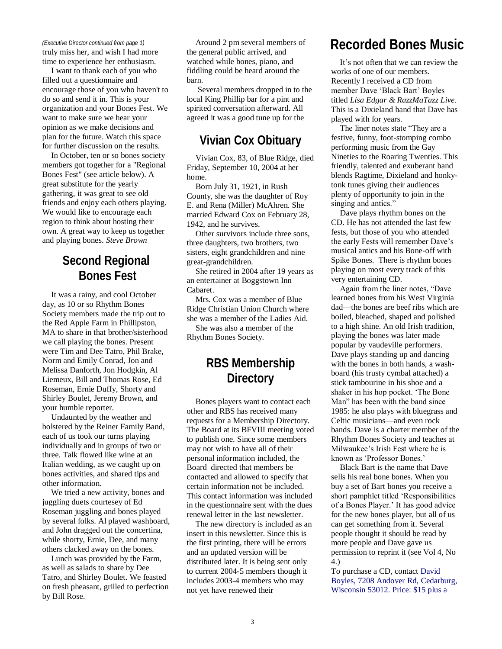#### *(Executive Director continued from page 1)*

truly miss her, and wish I had more time to experience her enthusiasm.

I want to thank each of you who filled out a questionnaire and encourage those of you who haven't to do so and send it in. This is your organization and your Bones Fest. We want to make sure we hear your opinion as we make decisions and plan for the future. Watch this space for further discussion on the results.

In October, ten or so bones society members got together for a "Regional Bones Fest" (see article below). A great substitute for the yearly gathering, it was great to see old friends and enjoy each others playing. We would like to encourage each region to think about hosting their own. A great way to keep us together and playing bones. *Steve Brown*

## **Second Regional Bones Fest**

It was a rainy, and cool October day, as 10 or so Rhythm Bones Society members made the trip out to the Red Apple Farm in Phillipston, MA to share in that brother/sisterhood we call playing the bones. Present were Tim and Dee Tatro, Phil Brake, Norm and Emily Conrad, Jon and Melissa Danforth, Jon Hodgkin, Al Liemeux, Bill and Thomas Rose, Ed Roseman, Ernie Duffy, Shorty and Shirley Boulet, Jeremy Brown, and your humble reporter.

Undaunted by the weather and bolstered by the Reiner Family Band, each of us took our turns playing individually and in groups of two or three. Talk flowed like wine at an Italian wedding, as we caught up on bones activities, and shared tips and other information.

We tried a new activity, bones and juggling duets courtesey of Ed Roseman juggling and bones played by several folks. Al played washboard, and John dragged out the concertina, while shorty, Ernie, Dee, and many others clacked away on the bones.

Lunch was provided by the Farm, as well as salads to share by Dee Tatro, and Shirley Boulet. We feasted on fresh pheasant, grilled to perfection by Bill Rose.

Around 2 pm several members of the general public arrived, and watched while bones, piano, and fiddling could be heard around the barn.

Several members dropped in to the local King Phillip bar for a pint and spirited conversation afterward. All agreed it was a good tune up for the

### **Vivian Cox Obituary**

Vivian Cox, 83, of Blue Ridge, died Friday, September 10, 2004 at her home.

Born July 31, 1921, in Rush County, she was the daughter of Roy E. and Rena (Miller) McAhren. She married Edward Cox on February 28, 1942, and he survives.

Other survivors include three sons, three daughters, two brothers, two sisters, eight grandchildren and nine great-grandchildren.

She retired in 2004 after 19 years as an entertainer at Boggstown Inn Cabaret.

Mrs. Cox was a member of Blue Ridge Christian Union Church where she was a member of the Ladies Aid.

She was also a member of the Rhythm Bones Society.

# **RBS Membership Directory**

Bones players want to contact each other and RBS has received many requests for a Membership Directory. The Board at its BFVIII meeting voted to publish one. Since some members may not wish to have all of their personal information included, the Board directed that members be contacted and allowed to specify that certain information not be included. This contact information was included in the questionnaire sent with the dues renewal letter in the last newsletter.

The new directory is included as an insert in this newsletter. Since this is the first printing, there will be errors and an updated version will be distributed later. It is being sent only to current 2004-5 members though it includes 2003-4 members who may not yet have renewed their

# **Recorded Bones Music**

It's not often that we can review the works of one of our members. Recently I received a CD from member Dave "Black Bart" Boyles titled *Lisa Edgar & RazzMaTazz Live*. This is a Dixieland band that Dave has played with for years.

The liner notes state "They are a festive, funny, foot-stomping combo performing music from the Gay Nineties to the Roaring Twenties. This friendly, talented and exuberant band blends Ragtime, Dixieland and honkytonk tunes giving their audiences plenty of opportunity to join in the singing and antics."

Dave plays rhythm bones on the CD. He has not attended the last few fests, but those of you who attended the early Fests will remember Dave"s musical antics and his Bone-off with Spike Bones. There is rhythm bones playing on most every track of this very entertaining CD.

Again from the liner notes, "Dave learned bones from his West Virginia dad—the bones are beef ribs which are boiled, bleached, shaped and polished to a high shine. An old Irish tradition, playing the bones was later made popular by vaudeville performers. Dave plays standing up and dancing with the bones in both hands, a washboard (his trusty cymbal attached) a stick tambourine in his shoe and a shaker in his hop pocket. "The Bone Man" has been with the band since 1985: he also plays with bluegrass and Celtic musicians—and even rock bands. Dave is a charter member of the Rhythm Bones Society and teaches at Milwaukee"s Irish Fest where he is known as 'Professor Bones.'

Black Bart is the name that Dave sells his real bone bones. When you buy a set of Bart bones you receive a short pamphlet titled "Responsibilities of a Bones Player." It has good advice for the new bones player, but all of us can get something from it. Several people thought it should be read by more people and Dave gave us permission to reprint it (see Vol 4, No 4.)

To purchase a CD, contact David Boyles, 7208 Andover Rd, Cedarburg, Wisconsin 53012. Price: \$15 plus a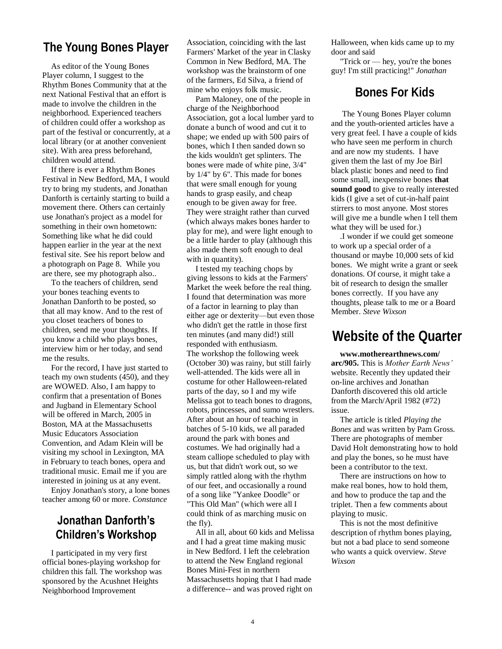# **The Young Bones Player**

Player column, I suggest to the Rhythm Bones Community that at the next National Festival that an effort is made to involve the children in the neighborhood. Experienced teachers of children could offer a workshop as part of the festival or concurrently, at a local library (or at another convenient site). With area press beforehand, children would attend.

If there is ever a Rhythm Bones Festival in New Bedford, MA, I would try to bring my students, and Jonathan Danforth is certainly starting to build a movement there. Others can certainly use Jonathan's project as a model for something in their own hometown: Something like what he did could happen earlier in the year at the next festival site. See his report below and a photograph on Page 8. While you are there, see my photograph also..

To the teachers of children, send your bones teaching events to Jonathan Danforth to be posted, so that all may know. And to the rest of you closet teachers of bones to children, send me your thoughts. If you know a child who plays bones, interview him or her today, and send me the results.

For the record, I have just started to teach my own students (450), and they are WOWED. Also, I am happy to confirm that a presentation of Bones and Jugband in Elementary School will be offered in March, 2005 in Boston, MA at the Massachusetts Music Educators Association Convention, and Adam Klein will be visiting my school in Lexington, MA in February to teach bones, opera and traditional music. Email me if you are interested in joining us at any event.

Enjoy Jonathan's story, a lone bones teacher among 60 or more. *Constance* 

### **Jonathan Danforth's Children's Workshop**

I participated in my very first official bones-playing workshop for children this fall. The workshop was sponsored by the Acushnet Heights Neighborhood Improvement

As editor of the Young Bones<br>workshop was the brainstorm of one guy! I'm still practicing!" *Jonathan* Association, coinciding with the last Farmers' Market of the year in Clasky Common in New Bedford, MA. The workshop was the brainstorm of one of the farmers, Ed Silva, a friend of mine who enjoys folk music.

> Pam Maloney, one of the people in charge of the Neighborhood Association, got a local lumber yard to donate a bunch of wood and cut it to shape; we ended up with 500 pairs of bones, which I then sanded down so the kids wouldn't get splinters. The bones were made of white pine, 3/4" by 1/4" by 6". This made for bones that were small enough for young hands to grasp easily, and cheap enough to be given away for free. They were straight rather than curved (which always makes bones harder to play for me), and were light enough to be a little harder to play (although this also made them soft enough to deal with in quantity).

> I tested my teaching chops by giving lessons to kids at the Farmers' Market the week before the real thing. I found that determination was more of a factor in learning to play than either age or dexterity—but even those who didn't get the rattle in those first ten minutes (and many did!) still responded with enthusiasm. The workshop the following week (October 30) was rainy, but still fairly well-attended. The kids were all in costume for other Halloween-related parts of the day, so I and my wife Melissa got to teach bones to dragons, robots, princesses, and sumo wrestlers. After about an hour of teaching in batches of 5-10 kids, we all paraded around the park with bones and costumes. We had originally had a steam calliope scheduled to play with us, but that didn't work out, so we simply rattled along with the rhythm of our feet, and occasionally a round of a song like "Yankee Doodle" or "This Old Man" (which were all I could think of as marching music on the fly).

> All in all, about 60 kids and Melissa and I had a great time making music in New Bedford. I left the celebration to attend the New England regional Bones Mini-Fest in northern Massachusetts hoping that I had made a difference-- and was proved right on

Halloween, when kids came up to my door and said

"Trick or — hey, you're the bones

#### **Bones For Kids**

The Young Bones Player column and the youth-oriented articles have a very great feel. I have a couple of kids who have seen me perform in church and are now my students. I have given them the last of my Joe Birl black plastic bones and need to find some small, inexpensive bones **that sound good** to give to really interested kids (I give a set of cut-in-half paint stirrers to most anyone. Most stores will give me a bundle when I tell them what they will be used for.)

.I wonder if we could get someone to work up a special order of a thousand or maybe 10,000 sets of kid bones. We might write a grant or seek donations. Of course, it might take a bit of research to design the smaller bones correctly. If you have any thoughts, please talk to me or a Board Member. *Steve Wixson*

# **Website of the Quarter**

**www.motherearthnews.com/ arc/905.** This is *Mother Earth News'*  website. Recently they updated their on-line archives and Jonathan Danforth discovered this old article from the March/April 1982 (#72) issue.

The article is titled *Playing the Bones* and was written by Pam Gross. There are photographs of member David Holt demonstrating how to hold and play the bones, so he must have been a contributor to the text.

There are instructions on how to make real bones, how to hold them, and how to produce the tap and the triplet. Then a few comments about playing to music.

This is not the most definitive description of rhythm bones playing, but not a bad place to send someone who wants a quick overview. *Steve Wixson*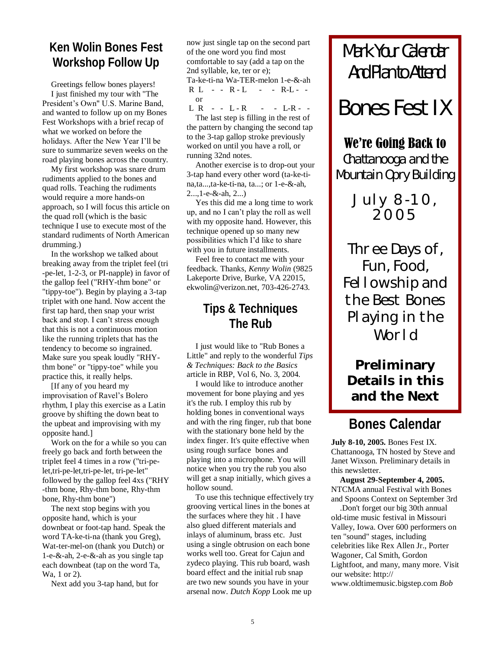# **Ken Wolin Bones Fest Workshop Follow Up**

Greetings fellow bones players! I just finished my tour with "The President's Own" U.S. Marine Band, and wanted to follow up on my Bones Fest Workshops with a brief recap of what we worked on before the holidays. After the New Year I"ll be sure to summarize seven weeks on the road playing bones across the country.

My first workshop was snare drum rudiments applied to the bones and quad rolls. Teaching the rudiments would require a more hands-on approach, so I will focus this article on the quad roll (which is the basic technique I use to execute most of the standard rudiments of North American drumming.)

In the workshop we talked about breaking away from the triplet feel (tri -pe-let, 1-2-3, or PI-napple) in favor of the gallop feel ("RHY-thm bone" or "tippy-toe"). Begin by playing a 3-tap triplet with one hand. Now accent the first tap hard, then snap your wrist back and stop. I can"t stress enough that this is not a continuous motion like the running triplets that has the tendency to become so ingrained. Make sure you speak loudly "RHYthm bone" or "tippy-toe" while you practice this, it really helps.

[If any of you heard my improvisation of Ravel"s Bolero rhythm, I play this exercise as a Latin groove by shifting the down beat to the upbeat and improvising with my opposite hand.]

Work on the for a while so you can freely go back and forth between the triplet feel 4 times in a row ("tri-pelet,tri-pe-let,tri-pe-let, tri-pe-let" followed by the gallop feel 4xs ("RHY -thm bone, Rhy-thm bone, Rhy-thm bone, Rhy-thm bone")

The next stop begins with you opposite hand, which is your downbeat or foot-tap hand. Speak the word TA-ke-ti-na (thank you Greg), Wat-ter-mel-on (thank you Dutch) or 1-e-&-ah, 2-e-&-ah as you single tap each downbeat (tap on the word Ta, Wa, 1 or 2).

Next add you 3-tap hand, but for

now just single tap on the second part of the one word you find most comfortable to say (add a tap on the 2nd syllable, ke, ter or e);

Ta-ke-ti-na Wa-TER-melon 1-e-&-ah  $R L - R - L - - R - L$ or

 $L R - - L - R - - - L - R - -$ The last step is filling in the rest of the pattern by changing the second tap to the 3-tap gallop stroke previously worked on until you have a roll, or running 32nd notes.

Another exercise is to drop-out your 3-tap hand every other word (ta-ke-tina,ta...,ta-ke-ti-na, ta...; or 1-e-&-ah, 2...,1-e-&-ah, 2...)

Yes this did me a long time to work up, and no I can"t play the roll as well with my opposite hand. However, this technique opened up so many new possibilities which I"d like to share with you in future installments.

Feel free to contact me with your feedback. Thanks, *Kenny Wolin* (9825 Lakeporte Drive, Burke, VA 22015, ekwolin@verizon.net, 703-426-2743.

## **Tips & Techniques The Rub**

I just would like to "Rub Bones a Little" and reply to the wonderful *Tips & Techniques: Back to the Basics*  article in RBP, Vol 6, No. 3, 2004.

I would like to introduce another movement for bone playing and yes it's the rub. I employ this rub by holding bones in conventional ways and with the ring finger, rub that bone with the stationary bone held by the index finger. It's quite effective when using rough surface bones and playing into a microphone. You will notice when you try the rub you also will get a snap initially, which gives a hollow sound.

To use this technique effectively try grooving vertical lines in the bones at the surfaces where they hit . I have also glued different materials and inlays of aluminum, brass etc. Just using a single obtrusion on each bone works well too. Great for Cajun and zydeco playing. This rub board, wash board effect and the initial rub snap are two new sounds you have in your arsenal now. *Dutch Kopp* Look me up

# Mark Your Calendar And Plan to Attend

*Bones Fest IX*

# We're Going Back to

Chattanooga and the Mountain Opry Building

> July 8-10, 2005

Three Days of, Fun, Food, Fellowship and the Best Bones Playing in the World

# **Preliminary Details in this and the Next**

# **Bones Calendar**

**July 8-10, 2005.** Bones Fest IX. Chattanooga, TN hosted by Steve and Janet Wixson. Preliminary details in this newsletter.

**August 29-September 4, 2005.**  NTCMA annual Festival with Bones and Spoons Context on September 3rd

.Don't forget our big 30th annual old-time music festival in Missouri Valley, Iowa. Over 600 performers on ten "sound" stages, including celebrities like Rex Allen Jr., Porter Wagoner, Cal Smith, Gordon Lightfoot, and many, many more. Visit our website: http:// www.oldtimemusic.bigstep.com *Bob*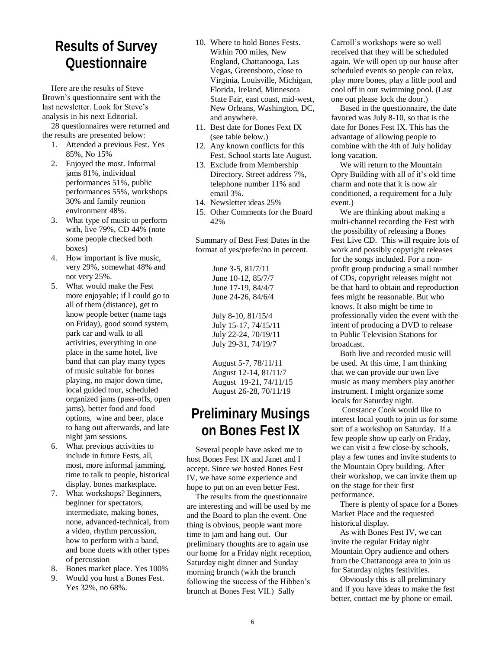# **Results of Survey Questionnaire**

Here are the results of Steve Brown"s questionnaire sent with the last newsletter. Look for Steve"s analysis in his next Editorial.

28 questionnaires were returned and the results are presented below:

- 1. Attended a previous Fest. Yes 85%, No 15%
- 2. Enjoyed the most. Informal jams 81%, individual performances 51%, public performances 55%, workshops 30% and family reunion environment 48%.
- 3. What type of music to perform with, live 79%, CD 44% (note some people checked both boxes)
- 4. How important is live music, very 29%, somewhat 48% and not very 25%.
- 5. What would make the Fest more enjoyable; if I could go to all of them (distance), get to know people better (name tags on Friday), good sound system, park car and walk to all activities, everything in one place in the same hotel, live band that can play many types of music suitable for bones playing, no major down time, local guided tour, scheduled organized jams (pass-offs, open jams), better food and food options, wine and beer, place to hang out afterwards, and late night jam sessions.
- 6. What previous activities to include in future Fests, all, most, more informal jamming, time to talk to people, historical display. bones marketplace.
- 7. What workshops? Beginners, beginner for spectators, intermediate, making bones, none, advanced-technical, from a video, rhythm percussion, how to perform with a band, and bone duets with other types of percussion
- 8. Bones market place. Yes 100%
- 9. Would you host a Bones Fest. Yes 32%, no 68%.
- 10. Where to hold Bones Fests. Within 700 miles, New England, Chattanooga, Las Vegas, Greensboro, close to Virginia, Louisville, Michigan, Florida, Ireland, Minnesota State Fair, east coast, mid-west, New Orleans, Washington, DC, and anywhere.
- 11. Best date for Bones Fext IX (see table below.)
- 12. Any known conflicts for this Fest. School starts late August.
- 13. Exclude from Membership Directory. Street address 7%, telephone number 11% and email 3%.
- 14. Newsletter ideas 25%
- 15. Other Comments for the Board 42%

Summary of Best Fest Dates in the format of yes/prefer/no in percent.

> June 3-5, 81/7/11 June 10-12, 85/7/7 June 17-19, 84/4/7 June 24-26, 84/6/4

July 8-10, 81/15/4 July 15-17, 74/15/11 July 22-24, 70/19/11 July 29-31, 74/19/7

August 5-7, 78/11/11 August 12-14, 81/11/7 August 19-21, 74/11/15 August 26-28, 70/11/19

# **Preliminary Musings on Bones Fest IX**

Several people have asked me to host Bones Fest IX and Janet and I accept. Since we hosted Bones Fest IV, we have some experience and hope to put on an even better Fest.

The results from the questionnaire are interesting and will be used by me and the Board to plan the event. One thing is obvious, people want more time to jam and hang out. Our preliminary thoughts are to again use our home for a Friday night reception, Saturday night dinner and Sunday morning brunch (with the brunch following the success of the Hibben"s brunch at Bones Fest VII.) Sally

Carroll"s workshops were so well received that they will be scheduled again. We will open up our house after scheduled events so people can relax, play more bones, play a little pool and cool off in our swimming pool. (Last one out please lock the door.)

Based in the questionnaire, the date favored was July 8-10, so that is the date for Bones Fest IX. This has the advantage of allowing people to combine with the 4th of July holiday long vacation.

We will return to the Mountain Opry Building with all of it"s old time charm and note that it is now air conditioned, a requirement for a July event.)

We are thinking about making a multi-channel recording the Fest with the possibility of releasing a Bones Fest Live CD. This will require lots of work and possibly copyright releases for the songs included. For a nonprofit group producing a small number of CDs, copyright releases might not be that hard to obtain and reproduction fees might be reasonable. But who knows. It also might be time to professionally video the event with the intent of producing a DVD to release to Public Television Stations for broadcast.

Both live and recorded music will be used. At this time, I am thinking that we can provide our own live music as many members play another instrument. I might organize some locals for Saturday night.

Constance Cook would like to interest local youth to join us for some sort of a workshop on Saturday. If a few people show up early on Friday, we can visit a few close-by schools, play a few tunes and invite students to the Mountain Opry building. After their workshop, we can invite them up on the stage for their first performance.

There is plenty of space for a Bones Market Place and the requested historical display.

As with Bones Fest IV, we can invite the regular Friday night Mountain Opry audience and others from the Chattanooga area to join us for Saturday nights festivities.

Obviously this is all preliminary and if you have ideas to make the fest better, contact me by phone or email.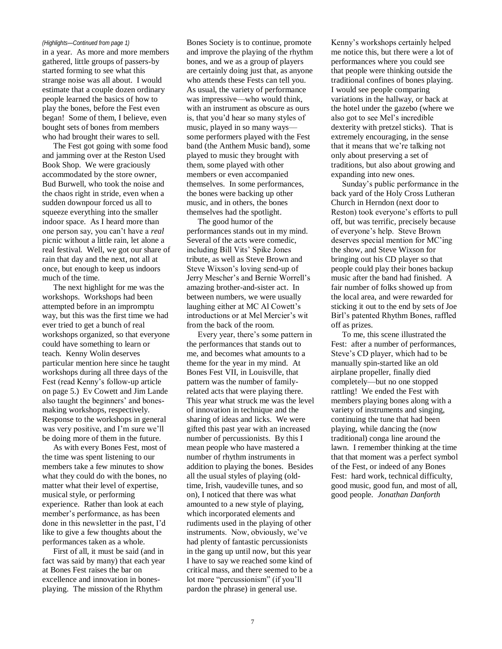in a year. As more and more members gathered, little groups of passers-by started forming to see what this strange noise was all about. I would estimate that a couple dozen ordinary people learned the basics of how to play the bones, before the Fest even began! Some of them, I believe, even bought sets of bones from members who had brought their wares to sell.

The Fest got going with some food and jamming over at the Reston Used Book Shop. We were graciously accommodated by the store owner, Bud Burwell, who took the noise and the chaos right in stride, even when a sudden downpour forced us all to squeeze everything into the smaller indoor space. As I heard more than one person say, you can"t have a *real* picnic without a little rain, let alone a real festival. Well, we got our share of rain that day and the next, not all at once, but enough to keep us indoors much of the time.

The next highlight for me was the workshops. Workshops had been attempted before in an impromptu way, but this was the first time we had ever tried to get a bunch of real workshops organized, so that everyone could have something to learn or teach. Kenny Wolin deserves particular mention here since he taught workshops during all three days of the Fest (read Kenny"s follow-up article on page 5.) Ev Cowett and Jim Lande also taught the beginners' and bonesmaking workshops, respectively. Response to the workshops in general was very positive, and I'm sure we'll be doing more of them in the future.

As with every Bones Fest, most of the time was spent listening to our members take a few minutes to show what they could do with the bones, no matter what their level of expertise, musical style, or performing experience. Rather than look at each member"s performance, as has been done in this newsletter in the past, I"d like to give a few thoughts about the performances taken as a whole.

First of all, it must be said (and in fact was said by many) that each year at Bones Fest raises the bar on excellence and innovation in bonesplaying. The mission of the Rhythm

*(Highlights—Continued from page 1)* Bones Society is to continue, promote and improve the playing of the rhythm bones, and we as a group of players are certainly doing just that, as anyone who attends these Fests can tell you. As usual, the variety of performance was impressive—who would think, with an instrument as obscure as ours is, that you"d hear so many styles of music, played in so many ways some performers played with the Fest band (the Anthem Music band), some played to music they brought with them, some played with other members or even accompanied themselves. In some performances, the bones were backing up other music, and in others, the bones themselves had the spotlight.

The good humor of the performances stands out in my mind. Several of the acts were comedic, including Bill Vits" Spike Jones tribute, as well as Steve Brown and Steve Wixson"s loving send-up of Jerry Mescher"s and Bernie Worrell"s amazing brother-and-sister act. In between numbers, we were usually laughing either at MC Al Cowett's introductions or at Mel Mercier's wit from the back of the room.

Every year, there"s some pattern in the performances that stands out to me, and becomes what amounts to a theme for the year in my mind. At Bones Fest VII, in Louisville, that pattern was the number of familyrelated acts that were playing there. This year what struck me was the level of innovation in technique and the sharing of ideas and licks. We were gifted this past year with an increased number of percussionists. By this I mean people who have mastered a number of rhythm instruments in addition to playing the bones. Besides all the usual styles of playing (oldtime, Irish, vaudeville tunes, and so on), I noticed that there was what amounted to a new style of playing, which incorporated elements and rudiments used in the playing of other instruments. Now, obviously, we've had plenty of fantastic percussionists in the gang up until now, but this year I have to say we reached some kind of critical mass, and there seemed to be a lot more "percussionism" (if you"ll pardon the phrase) in general use.

Kenny"s workshops certainly helped me notice this, but there were a lot of performances where you could see that people were thinking outside the traditional confines of bones playing. I would see people comparing variations in the hallway, or back at the hotel under the gazebo (where we also got to see Mel"s incredible dexterity with pretzel sticks). That is extremely encouraging, in the sense that it means that we"re talking not only about preserving a set of traditions, but also about growing and expanding into new ones.

Sunday"s public performance in the back yard of the Holy Cross Lutheran Church in Herndon (next door to Reston) took everyone"s efforts to pull off, but was terrific, precisely because of everyone"s help. Steve Brown deserves special mention for MC"ing the show, and Steve Wixson for bringing out his CD player so that people could play their bones backup music after the band had finished. A fair number of folks showed up from the local area, and were rewarded for sticking it out to the end by sets of Joe Birl"s patented Rhythm Bones, raffled off as prizes.

To me, this scene illustrated the Fest: after a number of performances, Steve"s CD player, which had to be manually spin-started like an old airplane propeller, finally died completely—but no one stopped rattling! We ended the Fest with members playing bones along with a variety of instruments and singing, continuing the tune that had been playing, while dancing the (now traditional) conga line around the lawn. I remember thinking at the time that that moment was a perfect symbol of the Fest, or indeed of any Bones Fest: hard work, technical difficulty, good music, good fun, and most of all, good people. *Jonathan Danforth*